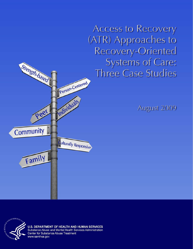**Access to Recovery** (ATR) Approaches to Recovery-Oriented **Systems of Care:** Three Case Studies







**U.S. DEPARTMENT OF HEALTH AND HUMAN SERVICES** Substance Abuse and Mental Health Services Administration Center for Substance Abuse Treatment www.samhsa.gov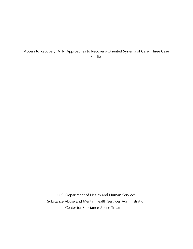### Access to Recovery (ATR) Approaches to Recovery-Oriented Systems of Care: Three Case Studies

U.S. Department of Health and Human Services Substance Abuse and Mental Health Services Administration Center for Substance Abuse Treatment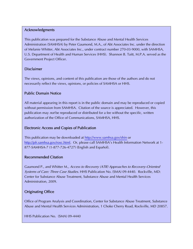#### Acknowledgments

This publication was prepared for the Substance Abuse and Mental Health Services Administration (SAMHSA) by Peter Gaumond, M.A., of Abt Associates Inc. under the direction of Melanie Whitter, Abt Associates Inc., under contract number 270-03-9000, with SAMHSA, U.S. Department of Health and Human Services (HHS). Shannon B. Taitt, M.P.A. served as the Government Project Officer.

#### Disclaimer

The views, opinions, and content of this publication are those of the authors and do not necessarily reflect the views, opinions, or policies of SAMHSA or HHS.

#### Public Domain Notice

All material appearing in this report is in the public domain and may be reproduced or copied without permission from SAMHSA. Citation of the source is appreciated. However, this publication may *not* be reproduced or distributed for a fee without the specific, written authorization of the Office of Communications, SAMHSA, HHS.

#### Electronic Access and Copies of Publication

This publication may be downloaded at<http://www.samhsa.gov/shin>or <http://pfr.samhsa.gov/rosc.html>. Or, please call SAMHSA's Health Information Network at 1-877-SAMHSA-7 (1-877-726-4727) (English and Español).

#### Recommended Citation

Gaumond P., and Whitter M., Access to Recovery (ATR) Approaches to Recovery-Oriented Systems of Care: Three Case Studies. HHS Publication No. (SMA) 09-4440. Rockville, MD: Center for Substance Abuse Treatment, Substance Abuse and Mental Health Services Administration, 2009.

#### Originating Office

Office of Program Analysis and Coordination, Center for Substance Abuse Treatment, Substance Abuse and Mental Health Services Administration, 1 Choke Cherry Road, Rockville, MD 20857.

HHS Publication No. (SMA) 09-4440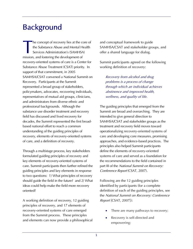# **Background**

he concept of recovery lies at the core of the Substance Abuse and Mental Health Services Administration's (SAMHSA) mission, and fostering the development of recovery-oriented systems of care is a Center for Substance Abuse Treatment (CSAT) priority. In support of that commitment, in 2005 SAMHSA/CSAT convened a National Summit on Recovery. Participants at the Summit represented a broad group of stakeholders, policymakers, advocates, recovering individuals, representatives of mutual aid groups, clinicians, and administrators from diverse ethnic and professional backgrounds. Although the substance use disorder treatment and recovery field has discussed and lived recovery for decades, the Summit represented the first broadbased national effort to reach a common understanding of the guiding principles of recovery, elements of recovery-oriented systems of care, and a definition of recovery. **T** 

Through a multistage process, key stakeholders formulated guiding principles of recovery and key elements of recovery-oriented systems of care. Summit participants then further refined the guiding principles and key elements in response to two questions: 1) What principles of recovery should guide the field in the future? and 2) What ideas could help make the field more recovery oriented?

A working definition of recovery, 12 guiding principles of recovery, and 17 elements of recovery-oriented systems of care emerged from the Summit process. These principles and elements can now provide a philosophical and conceptual framework to guide SAMHSA/CSAT and stakeholder groups, and offer a shared language for dialog.

Summit participants agreed on the following working definition of recovery:

Recovery from alcohol and drug problems is a process of change through which an individual achieves abstinence and improved health, wellness, and quality of life.

The guiding principles that emerged from the Summit are broad and overarching. They are intended to give general direction to SAMHSA/CSAT and stakeholder groups as the treatment and recovery field moves toward operationalizing recovery-oriented systems of care and developing core measures, promising approaches, and evidence-based practices. The principles also helped Summit participants define the elements of recovery-oriented systems of care and served as a foundation for the recommendations to the field contained in part III of the National Summit on Recovery: Conference Report (CSAT, 2007).

Following are the 12 guiding principles identified by participants (for a complete definition of each of the guiding principles, see the National Summit on Recovery: Conference Report [CSAT, 2007]):

- There are many pathways to recovery;
- Recovery is self-directed and empowering;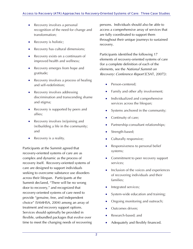- Recovery involves a personal recognition of the need for change and transformation;
- Recovery is holistic;
- Recovery has cultural dimensions;
- Recovery exists on a continuum of improved health and wellness;
- Recovery emerges from hope and gratitude;
- Recovery involves a process of healing and self-redefinition;
- **Recovery involves addressing** discrimination and transcending shame and stigma;
- Recovery is supported by peers and allies;
- Recovery involves (re)joining and (re)building a life in the community; and
- Recovery is a reality.

Participants at the Summit agreed that recovery-oriented systems of care are as complex and dynamic as the process of recovery itself. Recovery-oriented systems of care are designed to support individuals seeking to overcome substance use disorders across their lifespan. Participants at the Summit declared, "There will be no wrong door to recovery," and recognized that recovery-oriented systems of care need to provide "genuine, free, and independent choice" (SAMHSA, 2004) among an array of treatment and recovery support options. Services should optimally be provided in flexible, unbundled packages that evolve over time to meet the changing needs of recovering persons. Individuals should also be able to access a comprehensive array of services that are fully coordinated to support them throughout their unique journeys to sustained recovery.

Participants identified the following 17 elements of recovery-oriented systems of care (for a complete definition of each of the elements, see the National Summit on Recovery: Conference Report [CSAT, 2007]):

- Person-centered;
- Family and other ally involvement;
- Individualized and comprehensive services across the lifespan;
- Systems anchored in the community;
- Continuity of care;
- Partnership-consultant relationships;
- Strength-based;
- Culturally responsive;
- Responsiveness to personal belief systems;
- Commitment to peer recovery support services;
- Inclusion of the voices and experiences of recovering individuals and their families;
- Integrated services;
- System-wide education and training;
- Ongoing monitoring and outreach;
- Outcomes driven;
- Research-based; and
- Adequately and flexibly financed.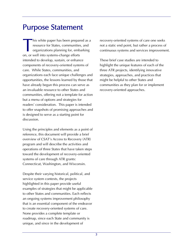## Purpose Statement

his white paper has been prepared as a resource for States, communities, and organizations planning for, embarking on, or well into systems-change efforts intended to develop, sustain, or enhance components of recovery-oriented systems of care. While States, communities, and organizations each face unique challenges and opportunities, the lessons learned by those that have already begun this process can serve as an invaluable resource to other States and communities, offering not a template for action but a menu of options and strategies for readers' consideration. This paper is intended to offer snapshots of promising approaches and is designed to serve as a starting point for discussion.  $\begin{bmatrix} 1 \\ 2 \\ 3 \\ 4 \end{bmatrix}$ 

Using the principles and elements as a point of reference, this document will provide a brief overview of CSAT's Access to Recovery (ATR) program and will describe the activities and operations of three States that have taken steps toward the development of recovery-oriented systems of care through ATR grants: Connecticut, Washington, and Wisconsin.

Despite their varying historical, political, and service system contexts, the projects highlighted in this paper provide useful examples of strategies that might be applicable to other States and communities. Each reflects an ongoing systems improvement philosophy that is an essential component of the endeavor to create recovery-oriented systems of care. None provides a complete template or roadmap, since each State and community is unique, and since in the development of

recovery-oriented systems of care one seeks not a static end point, but rather a process of continuous systems and services improvement.

These brief case studies are intended to highlight the unique features of each of the three ATR projects, identifying innovative strategies, approaches, and practices that might be helpful to other States and communities as they plan for or implement recovery-oriented approaches.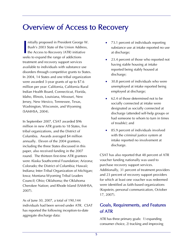## Overview of Access to Recovery

nitially proposed in President George W. Bush's 2003 State of the Union Address,  $\blacksquare$  the Access to Recovery (ATR) initiative seeks to expand the range of addictions treatment and recovery support services available to individuals with substance use disorders through competitive grants to States. In 2004, 14 States and one tribal organization were awarded 3-year grants of up to \$7.6 million per year: California, California Rural Indian Health Board, Connecticut, Florida, Idaho, Illinois, Louisiana, Missouri, New Jersey, New Mexico, Tennessee, Texas, Washington, Wisconsin, and Wyoming (SAMHSA, 2004). I initially proposed in President George W. 13.1 percent of individuals reporting<br>
Bush's 2003 State of the Union Address,<br>
the Access to Recovery (ATR) initiative<br>
solve to expand the range of addictions

In September 2007, CSAT awarded \$96 of trouble): and million in new ATR grants to 18 States, five tribal organizations, and the District of Columbia. Awards averaged \$4 million annually. Eleven of the 2004 grantees, including the three States discussed in this paper, also received funding in the 2007 round. The thirteen first-time ATR grantees were Alaska Southcentral Foundation; Arizona; Colorado; the District of Columbia; Hawaii; Indiana; Inter-Tribal Organization of Michigan; Iowa; Montana-Wyoming Tribal Leaders Council; Ohio; Oklahoma; the Oklahoma Cherokee Nation; and Rhode Island (SAMHSA, 2007).

As of June 30, 2007, a total of 190,144 individuals had been served under ATR. CSAT has reported the following inception-to-date aggregate discharge data:

- substance use at intake reported no use at discharge;
- 23.4 percent of those who reported not having stable housing at intake reported being stably housed at discharge;
- 30.8 percent of individuals who were unemployed at intake reported being employed at discharge;
- 62.4 of those determined not to be socially connected at intake were designated as socially connected at discharge (attended self-help groups or had someone to whom to turn in times
- 85.9 percent of individuals involved with the criminal justice system at intake reported no involvement at discharge.

CSAT has also reported that 48 percent of ATR voucher funding nationally was used to purchase recovery support services. Additionally, 31 percent of treatment providers and 23 percent of recovery support providers for which at least one voucher was redeemed were identified as faith-based organizations (Kopstein, personal communication, October 17, 2007).

## Goals, Requirements, and Features of ATR

ATR has three primary goals: 1) expanding consumer choice, 2) tracking and improving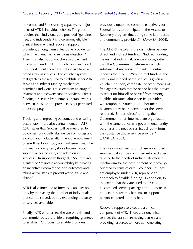outcomes, and 3) increasing capacity. A major focus of ATR is individual choice. The grant requires that individuals are provided "genuine, free, and independent choice among eligible clinical treatment and recovery support providers, among them at least one provider to which the client has no religious objection." They must also adopt vouchers as a payment mechanism under ATR. Vouchers are intended to support client choice by making available a broad array of services. The voucher systems that grantees are required to establish under ATR serve as an indirect funding mechanism, permitting individuals to select from an array of treatment and recovery support services. Direct funding of services by contracts or grant awards between the State and providers is not permitted under the program.

Tracking and improving outcomes and ensuring accountability are also central themes in ATR. CSAT states that "success will be measured by outcomes, principally abstinence from drugs and alcohol, and includes attainment of employment or enrollment in school, no involvement with the criminal justice system, stable housing, social support, access to care, and retention in services." In support of this goal, CSAT requires grantees to "maintain accountability by creating an incentive system for positive outcomes and taking active steps to prevent waste, fraud and abuse."

ATR is also intended to increase capacity not only by increasing the number of individuals that can be served, but by expanding the array of services available.

Finally, ATR emphasizes the use of faith- and community-based providers, requiring grantees to establish "a process to enable providers

previously unable to compete effectively for Federal funds to participate in the Access to Recovery program (including some faith-based and community providers)" (SAMHSA, 2004).

The ATR RFP explains the distinction between direct and indirect funding. "Indirect funding means that individual, private choice, rather than the Government, determines which substance abuse service provider eventually receives the funds. With indirect funding, the individual in need of the service is given a voucher, coupon, certificate, or other means of free agency, such that he or she has the power to select for himself or herself from among eligible substance abuse service providers, whereupon the voucher (or other method of payment) may be 'redeemed' for the service rendered. Under 'direct' funding, the Government or an intermediate organization with the same duties as a governmental entity purchases the needed services directly from the substance abuse service provider" (SAMHSA, 2004).

The use of vouchers to purchase unbundled services that can be combined into packages tailored to the needs of individuals offers a mechanism for the development of recoveryoriented systems of care. Vouchers, as they are employed under ATR, represent an approach to flexible funding. In addition, to the extent that they are used to develop customized service packages and to increase choice, they are mechanisms to support person-centered approaches.

Recovery support services are a critical component of ATR. These are nonclinical services that assist in removing barriers and providing resources to those contemplating,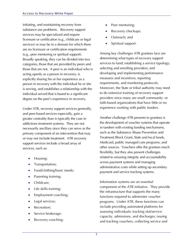initiating, and maintaining recovery from substance use problems. Recovery support services may be specialized and require licensure or certification (e.g., childcare or legal services) or may be in a domain for which there are no licensure or certification requirements (e.g., peer mentoring or spiritual support). Broadly speaking, they can be divided into two categories, those that are provided by peers and those that are not. A peer is an individual who is acting openly as a person in recovery, is explicitly sharing his or her experience as a person in recovery with the individual he or she is serving, and establishes a relationship with the individual served that is based to a significant degree on the peer's experience in recovery.

Under ATR, recovery support services generally, and peer-based services especially, gain a greater centrality than is typically the case in addictions treatment systems. They are not necessarily ancillary since they can serve as the primary component of an intervention that may or may not include treatment. ATR recovery support services include a broad array of services, such as:

- Housing;
- Transportation;
- Food/clothing/basic needs;
- Parenting training;
- Childcare;
- Life skills training;
- Employment coaching;
- Legal services;
- Recreation;
- Service brokerage;
- Recovery coaching;
- Peer mentoring;
- Recovery checkups;
- Outreach; and
- Spiritual support.

Among key challenges ATR grantees face are determining what types of recovery support services to fund; establishing a service typology; selecting and enrolling providers; and developing and implementing performance measures and incentives, reporting requirements, and monitoring protocols. Moreover, the State or tribal authority may need to do extensive training of recovery support providers since many are small community- or faith-based organizations that have little or no experience working with public funders.

Another challenge ATR presents to grantees is the development of voucher systems that operate in tandem with existing funding mechanisms, such as the Substance Abuse Prevention and Treatment Block Grant, State and local funds, Medicaid, public managed care programs, and other sources. Vouchers offer the grantees much flexibility, but they also present challenges related to ensuring integrity and accountability across payment systems and managing administrative costs while setting up secondary payment and service tracking systems.

Information systems are an essential component of the ATR initiative. They provide the infrastructure that supports the many functions required to administer voucher programs. Under ATR, these functions can include providing automated platforms for assessing individuals; tracking slot/service capacity, admissions, and discharges; issuing and tracking vouchers, collecting service and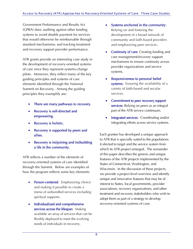Government Performance and Results Act (GPRA) data; auditing against other funding systems to avoid double payment for services that would otherwise be reimbursable through standard mechanisms; and tracking treatment and recovery support provider performance.

ATR grants provide an interesting case study in the development of recovery-oriented systems of care since they represent systems-change pilots. Moreover, they reflect many of the key guiding principles and systems of care elements identified through the National Summit on Recovery. Among the guiding principles they exemplify are:

- There are many pathways to recovery.
- Recovery is self-directed and empowering.
- Recovery is holistic.
- Recovery is supported by peers and allies.
- Recovery is (re)joining and (re)building a life in the community.

ATR reflects a number of the elements of recovery-oriented systems of care identified through the Summit. Below are examples of how the program reflects some key elements:

- Person-centered: Emphasizing choice and making it possible to create a menu of unbundled services including spiritual supports.
- Individualized and comprehensive services across the lifespan: Making available an array of services that can be flexibly deployed to meet the evolving needs of individuals in recovery.
- Systems anchored in the community: Relying on and fostering the development of a broad network of community and faith-based providers and emphasizing peer services.
- Continuity of care: Creating funding and care management/recovery support mechanisms to ensure continuity across provider organizations and service systems.
- Responsiveness to personal belief systems: Ensuring the availability of a variety of faith-based and secular services.
- Commitment to peer recovery support services: Relying on peers as an integral part of the ATR service continuum.
- Integrated services: Coordinating and/or integrating efforts across service systems.

Each grantee has developed a unique approach to ATR that is specially suited to the populations it elected to target and the service system from which its ATR project emerged. The remainder of this paper describes the genesis and unique features of the ATR projects implemented by the States of Connecticut, Washington, and Wisconsin. In the discussion of these projects, we provide a project-level overview and identify unique and innovative features that may be of interest to States, local governments, provider associations, recovery organizations, and other treatment and recovery stakeholders who wish to adopt them as part of a strategy to develop recovery-oriented systems of care.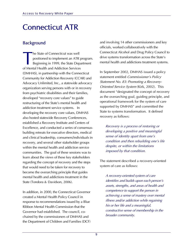# Connecticut ATR

### **Background**

he State of Connecticut was well positioned to implement an ATR program. Beginning in 1999, the State Department of Mental Health and Addiction Services (DMHAS), in partnership with the Connecticut Community for Addiction Recovery (CCAR) and Advocacy Unlimited, Inc., a statewide advocacy organization serving persons with or in recovery from psychiatric disabilities and their families, developed "recovery core values" to guide restructuring of the State's mental health and addiction treatment service systems. In developing the recovery core values, DMHAS also hosted statewide Recovery Conferences, established a Recovery Institute and Centers of Excellence, and conducted a series of consensusbuilding retreats for executive directors, medical and clinical leadership, consumers/individuals in recovery, and several other stakeholder groups within the mental health and addiction service communities. The goal of these sessions was to learn about the views of these key stakeholders regarding the concept of recovery and the steps that would need to be taken for recovery to become the overarching principle that guides mental health and addictions treatment in the State (Tondora & Davidson, 2006). T

In addition, in 2000, the Connecticut Governor created a Mental Health Policy Council in response to recommendations issued by a Blue Ribbon Mental Health Commission that the Governor had established. The council, cochaired by the commissioners of DMHAS and the Department of Children and Families (DCF) and involving 14 other commissioners and key officials, worked collaboratively with the Connecticut Alcohol and Drug Policy Council to drive systems transformation across the State's mental health and addictions treatment systems.

In September 2002, DMHAS issued a policy statement entitled Commissioner's Policy Statement No. 83: Promoting a Recovery-Oriented Service System (Kirk, 2002). This document "designated the concept of recovery as the overarching goal, guiding principle, and operational framework for the system of care supported by DMHAS" and committed the State to systems transformation. It defined recovery as follows:

Recovery is a process of restoring or developing a positive and meaningful sense of identity apart from one's condition and then rebuilding one's life despite, or within the limitations imposed by that condition.

The statement described a recovery-oriented system of care as follows:

A recovery-oriented system of care identifies and builds upon each person's assets, strengths, and areas of health and competence to support the person in achieving a sense of mastery over mental illness and/or addiction while regaining his or her life and a meaningful, constructive sense of membership in the broader community.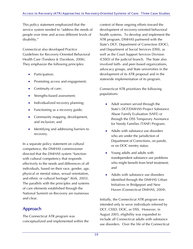This policy statement emphasized that the service system needed to "address the needs of people over time and across different levels of disability."

Connecticut also developed Practice Guidelines for Recovery-Oriented Behavioral Health Care (Tondora & Davidson, 2006). They emphasize the following principles:

- Participation;
- Promoting access and engagement;
- Continuity of care;
- Strengths-based assessment;
- Individualized recovery planning;
- Functioning as a recovery guide;
- Community mapping, development, and inclusion; and
- Identifying and addressing barriers to recovery.

In a separate policy statement on cultural competence, the DMHAS commissioner directed that the DMHAS system "function with cultural competency that responds effectively to the needs and differences of all individuals, based on their race, gender, age, physical or mental status, sexual orientation, and ethnic or cultural heritage" (Kirk, 2003). The parallels with the principles and systems of care elements established through the National Summit on Recovery are numerous and clear.

## Approach

The Connecticut ATR program was conceptualized and implemented within the context of these ongoing efforts toward the development of recovery-oriented behavioral health systems. To develop and implement the ATR program, DMHAS partnered with the State's DCF, Department of Correction (DOC), and Department of Social Services (DSS), as well as the Court Support Services Division (CSSD) of the judicial branch. The State also involved faith- and peer-based organizations, advocacy groups, and State universities in the development of its ATR proposal and in the statewide implementation of its program.

Connecticut ATR prioritizes the following populations:

- Adult women served through the State's DCF/DMHAS Project Substance Abuse Family Evaluation (SAFE) or through the DSS Temporary Assistance for Needy Families (TANF) Program;
- Adults with substance use disorders who are under the jurisdiction of Department of Corrections, on parole, or on DOC reentry status;
- Young adults and adults with nondependent substance use problems who might benefit from brief treatment; and
- Adults with substance use disorders identified through the DMHAS Urban Initiatives in Bridgeport and New Haven (Connecticut DMHAS, 2004).

Initially, the Connecticut ATR program was intended only to serve individuals referred by DCF, CSSD, DOC, or DSS. However, in August 2005, eligibility was expanded to include all Connecticut adults with substance use disorders. Over the life of the Connecticut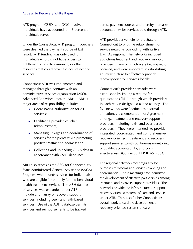ATR program, CSSD- and DOC-involved individuals have accounted for 48 percent of individuals served.

Under the Connecticut ATR program, vouchers were deemed the payment source of last resort. ATR funding was only used for individuals who did not have access to entitlements, private insurance, or other resources that could cover the cost of needed services.

Connecticut ATR was implemented and managed through a contract with an administrative services organization (ASO), Advanced Behavioral Health (ABH). ABH's major areas of responsibility include:

- Coordinating authorization for ATR services;
- Facilitating provider voucher reimbursement;
- Managing linkages and coordination of services for recipients while promoting positive treatment outcomes; and
- Collecting and uploading GPRA data in accordance with CSAT deadlines.

ABH also serves as the ASO for Connecticut's State-Administered General Assistance (SAGA) Program, which funds services for individuals who are eligible for publicly funded behavioral health treatment services. The ABH database of services was expanded under ATR to include a full array of recovery support services, including peer- and faith-based services. Use of the ABH database permits services and reimbursements to be tracked

across payment sources and thereby increases accountability for services paid through ATR.

ATR provided a vehicle for the State of Connecticut to pilot the establishment of service networks coinciding with its five DMHAS regions. The networks included addictions treatment and recovery support providers, many of which were faith-based or peer-led, and were important in establishing an infrastructure to effectively provide recovery-oriented services locally.

Connecticut's provider networks were established by issuing a request for qualifications (RFQ) through which providers in each region designated a lead agency. The five networks were "defined as a formal affiliation, via Memorandum of Agreement, among…treatment and recovery support providers, including faith- and peer-based providers." They were intended "to provide integrated, coordinated, and comprehensive recovery-oriented…treatment and recovery support services…with continuous monitoring of quality, accountability, and costeffectiveness" (Connecticut DMHAS, 2004).

The regional networks meet regularly for purposes of systems and services planning and coordination. These meetings have permitted the development of effective partnerships among treatment and recovery support providers. The networks provide the infrastructure to support recovery-oriented systems of care and services under ATR. They also further Connecticut's overall work toward the development of recovery-oriented systems of care.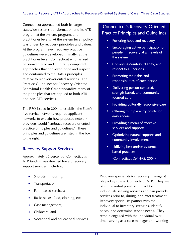Connecticut approached both its larger statewide systems transformation and its ATR program at the system, program, and practitioner levels. At the system level, policy was driven by recovery principles and values. At the program level, recovery practice guidelines were developed. Finally, at the practitioner level, Connecticut emphasized person-centered and culturally competent approaches that conveyed hope and respect and conformed to the State's principles relative to recovery-oriented services. The Practice Guidelines for Recovery-Oriented Behavioral Health Care standardize many of the principles that are applied to both ATR and non-ATR services.

The RFQ issued in 2004 to establish the State's five service networks required applicant networks to explain how proposed network providers would "embrace recovery-oriented practice principles and guidelines." These principles and guidelines are listed in the box to the right.

### Recovery Support Services

Approximately 85 percent of Connecticut's ATR funding was directed toward recovery support services, including:

- Short-term housing;
- Transportation;
- Faith-based services;
- Basic needs (food, clothing, etc.);
- Case management;
- Childcare; and
- Vocational and educational services.

## Connecticut's Recovery-Oriented Practice Principles and Guidelines

- Fostering hope and recovery
- Encouraging active participation of people in recovery at all levels of the system
- **EXECONCILLE** Conveying courtesy, dignity, and respect to all persons
- Promoting the rights and responsibilities of each person
- **•** Delivering person-centered, strength-based, and communityfocused care
- **Providing culturally responsive care**
- Offering multiple entry points for easy access
- **•** Providing a menu of effective services and supports
- Optimizing natural supports and community involvement
- **Utilizing best and/or evidence**based practices

(Connecticut DMHAS, 2004)

Recovery specialists (or recovery managers) play a key role in Connecticut ATR. They are often the initial point of contact for individuals seeking services and can provide services prior to, during, and after treatment. Recovery specialists partner with the individual to inventory strengths, identify needs, and determine service needs. They remain engaged with the individual over time, serving as a case manager and working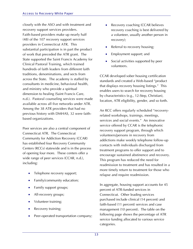closely with the ASO and with treatment and recovery support services providers. Faith-based providers make up nearly half (48) of the 107 recovery support services providers in Connecticut ATR. This substantial participation is in part the product of work that preceded the ATR grant. The State supported the Saint Francis Academy for Clinical Pastoral Training, which trained hundreds of faith leaders from different faith traditions, denominations, and sects from across the State. The academy is staffed by consultants in medicine, behavioral health, and ministry who provide a spiritual dimension to healing (Saint Francis Care, n.d.). Pastoral counseling services were made available across all five networks under ATR. Among the 38 ATR providers that had no previous history with DMHAS, 32 were faithbased organizations.

Peer services are also a central component of Connecticut ATR. The Connecticut Community for Addiction Recovery (CCAR) has established four Recovery Community Centers (RCCs) statewide and is in the process of opening four more. These centers offer a wide range of peer services (CCAR, n.d.), including:

- Telephone recovery support;
- Family/community education;
- Family support groups;
- All-recovery groups;
- Volunteer training;
- Recovery training;
- Peer-operated transportation company;
- Recovery coaching (CCAR believes recovery coaching is best delivered by a volunteer, usually another person in recovery);
- Referral to recovery housing;
- Employment support; and
- Social activities supported by peer volunteers.

CCAR developed sober housing certification standards and created a Web-based "product that displays recovery housing listings." This enables users to search for recovery housing by characteristics (e.g., 12-Step, Christian), location, ATR eligibility, gender, and so forth.

An RCC offers regularly scheduled "recoveryrelated workshops, trainings, meetings, services and social events." An innovative service offered by CCAR is the telephonic recovery support program, through which volunteers/persons in recovery from addictions make weekly telephone follow-up contacts with individuals discharged from treatment programs to offer support and to encourage sustained abstinence and recovery. This program has reduced the need for readmission to treatment and has resulted in a more timely return to treatment for those who relapse and require readmission.

In aggregate, housing support accounts for 45 percent of ATR-funded services in Connecticut. Other leading services purchased include clinical (14 percent) and faith-based (11 percent) services and case management (10 percent). The table on the following page shows the percentage of ATR service funding allocated to various service categories.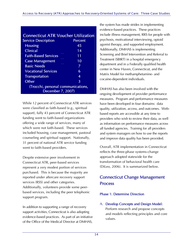| <b>Connecticut ATR Voucher Utilization</b>              |                |  |
|---------------------------------------------------------|----------------|--|
| <b>Service Description</b>                              | <b>Percent</b> |  |
| <b>Housing</b>                                          | 45             |  |
| <b>Clinical</b>                                         | 14             |  |
| <b>Faith-Based Services</b>                             | 11             |  |
| <b>Case Management</b>                                  | 10             |  |
| <b>Basic Needs</b>                                      | 7              |  |
| <b>Vocational Services</b>                              | 6              |  |
| <b>Transportation</b>                                   | 4              |  |
| Other                                                   | 3              |  |
| (Trocchi, personal communications,<br>December 7, 2007) |                |  |

While 12 percent of Connecticut ATR services were classified as faith-based (e.g., spiritual support), fully 43 percent of Connecticut ATR funding went to faith-based organizations offering a wide range of services, many of which were not faith-based. These services included housing, case management, pastoral counseling and spiritual support. Nationally, 31 percent of national ATR service funding went to faith-based providers.

Despite extensive peer involvement in Connecticut ATR, peer-based services represent a very modest portion of services purchased. This is because the majority are reported under aftercare recovery support services (RSS) and other categories. Additionally, volunteers provide some peerbased services, including the peer telephonic support program.

In addition to supporting a range of recovery support activities, Connecticut is also adopting evidence-based practices. As part of an initiative of the Office of the Medical Director at DMHAS,

the system has made strides in implementing evidence-based practices. These practices include illness management, RRS for people with psychosis, motivational interviewing, opioid agonist therapy, and supported employment. Additionally, DMHAS is implementing Screening and Brief Intervention and Referral to Treatment (SBIRT) in a hospital emergency department and in a Federally qualified health center in New Haven, Connecticut, and the Matrix Model for methamphetamine- and cocaine-dependent individuals.

DMHAS has also been involved with the ongoing development of provider performance measures. Program and performance measures have been developed in four domains: data quality, utilization, access, and outcomes. Webbased reports are accessible at any time to providers who wish to review their data, as well as information on performance measures across all funded agencies. Training for all providers and system managers on how to use the reports and improve data quality has been provided.

Overall, ATR implementation in Connecticut reflects the three-phase systems-change approach adopted statewide for the transformation of behavioral health care (DiLeo, 2006). It is summarized below.

## Connecticut Change Management Process

#### Phase 1: Determine Direction

A. Develop Concepts and Design Model: Perform research and propose concepts and models reflecting principles and core values.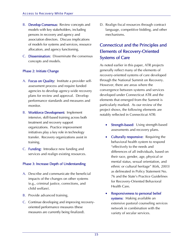- B. Develop Consensus: Review concepts and models with key stakeholders, including persons in recovery and agency and association directors. Discuss implications of models for systems and services, resource allocation, and agency functioning.
- C. Dissemination: Disseminate the consensus concepts and models.

#### Phase 2: Initiate Change

- A. Focus on Quality: Institute a provider selfassessment process and require funded agencies to develop agency-wide recovery plans for review and approval. Develop performance standards and measures and monitor.
- B. Workforce Development: Implement intensive, skill-based training across both treatment and recovery support organizations. Practice improvement initiatives play a key role in technology transfer. Recovery organizations assist in training.
- C. Funding: Introduce new funding and services and realign existing resources.

#### Phase 3: Increase Depth of Understanding

- A. Describe and communicate the beneficial impacts of the changes on other systems (e.g., criminal justice, corrections, and child welfare).
- B. Provide advanced training.
- C. Continue developing and improving recoveryoriented performance measures (these measures are currently being finalized).

D. Realign fiscal resources through contract language, competitive bidding, and other mechanisms.

### Connecticut and the Principles and Elements of Recovery-Oriented Systems of Care

As noted earlier in this paper, ATR projects generally reflect many of the elements of recovery-oriented systems of care developed through the National Summit on Recovery. However, there are areas where the convergence between systems and services developed under Connecticut ATR and the elements that emerged from the Summit is particularly marked. As our review of the project shows, the following elements are notably reflected in Connecticut ATR:

- Strength-based: Using strength-based assessments and recovery plans.
- Culturally responsive: Requiring the behavioral health system to respond "effectively to the needs and differences of all individuals, based on their race, gender, age, physical or mental status, sexual orientation, and ethnic or cultural heritage" (Kirk, 2003) as delineated in Policy Statement No. 76 and the State's Practice Guidelines for Recovery-Oriented Behavioral Health Care.
- Responsiveness to personal belief systems: Making available an extensive pastoral counseling services network in combination with the variety of secular services.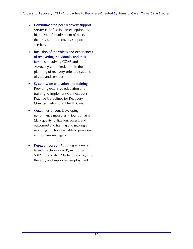- Commitment to peer recovery support services: Reflecting an exceptionally high level of involvement of peers in the provision of recovery support services.
- Inclusion of the voices and experiences of recovering individuals, and their families: Involving CCAR and Advocacy Unlimited, Inc., in the planning of recovery-oriented systems of care and services.
- System-wide education and training: Providing extensive education and training to implement Connecticut's Practice Guidelines for Recovery-Oriented Behavioral Health Care.
- **Outcomes driven: Developing** performance measures in four domains (data quality, utilization, access, and outcomes) and training and making a reporting function available to providers and systems managers.
- **Research-based:** Adopting evidencebased practices in ATR, including SBIRT, the Matrix Model opioid agonist therapy, and supported employment.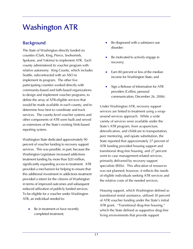# Washington ATR

## **Background**

The State of Washington directly funded six counties (Clark, King, Pierce, Snohomish, Spokane, and Yakima) to implement ATR. Each county administered its voucher program with relative autonomy. King County, which includes Seattle, subcontracted with an ASO to implement its program. The other five participating counties worked directly with community-based and faith-based organizations to design and implement voucher programs, to define the array of ATR-eligible services that would be made available in each county, and to determine how best to coordinate and track services. The county-level voucher systems and other components of ATR were built and served as extensions of the State's existing Web-based reporting system.

Washington State dedicated approximately 90 percent of voucher funding to recovery support services. This was possible, in part, because the Washington Legislature increased addictions treatment funding by more than \$20 million, significantly expanding access to treatment. ATR provided a mechanism for helping to ensure that this additional investment in addictions treatment provided a return for the citizens of Washington in terms of improved outcomes and subsequent reduced utilization of publicly funded services. To be eligible for a voucher under Washington ATR, an individual needed to:

Be in treatment or have recently completed treatment;

- Be diagnosed with a substance use disorder;
- Be motivated to actively engage in recovery;
- Earn 80 percent or less of the median income for Washington State; and
- Sign a Release of Information for ATR providers (Collins, personal communication, December 26, 2006).

Under Washington ATR, recovery support services are linked to treatment using a wraparound services approach. While a wide variety of services were available under the State's ATR program, from acupuncture, detoxification, and childcare to transportation, peer mentoring, and opiate substitution, the State reported that approximately 37 percent of ATR funding provided housing support and transitional drug-free housing, and 27 percent went to case management-related services, primarily delivered by recovery support specialists (RSSs). This allocation of resources was not planned; however, it reflects the needs of eligible individuals seeking ATR services and the relative costs of the needed services.

Housing support, which Washington defined as transitional rental assistance, utilized 30 percent of ATR voucher funding under the State's initial ATR grant. "Transitional drug-free housing," which the State defined as supportive drug-free living environments that provide support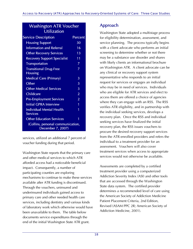### Washington ATR Voucher **Utilization**

| <b>Service Description</b>                             | Percent |  |
|--------------------------------------------------------|---------|--|
| <b>Housing Support</b>                                 | 30      |  |
| <b>Information and Referral</b>                        | 16      |  |
| <b>Other Recovery Services</b>                         | 13      |  |
| <b>Recovery Support Specialist</b>                     | 11      |  |
| <b>Transportation</b>                                  | 7       |  |
| <b>Transitional Drug-Free</b><br><b>Housing</b>        | 7       |  |
| <b>Medical Care (Primary)</b>                          | 3       |  |
| Other                                                  | 3       |  |
| <b>Other Medical Services</b>                          | 3       |  |
| Childcare                                              | 2       |  |
| <b>Pre-Employment Services</b>                         | 2       |  |
| <b>Initial GPRA Interview</b>                          | 1       |  |
| <b>Individual Mental Health</b><br><b>Services</b>     | 1       |  |
| <b>Other Education Services</b>                        | 1       |  |
| (Collins, personal communication,<br>December 7, 2007) |         |  |

services, utilized an additional 7 percent of voucher funding during that period.

Washington State reports that the primary care and other medical services to which ATR afforded access had a noticeable beneficial impact. Consequently, a number of participating counties are exploring mechanisms to continue to make these services available after ATR funding is discontinued. Through the vouchers, uninsured and underinsured individuals gained access to primary care and other needed health care services, including dentistry and various kinds of laboratory work which otherwise would have been unavailable to them. The table below documents service expenditures through the end of the initial Washington State ATR grant.

## Approach

Washington State adopted a multistage process for eligibility determination, assessment, and service planning. The process typically begins with a client advocate who performs an initial screening to determine whether or not there may be a substance use disorder and shares with likely clients an informational brochure on Washington ATR. A client advocate can be any clinical or recovery support system representative who responds to an initial request for services or engages an individual who may be in need of services. Individuals who are eligible for ATR services and elect to access them are offered a choice of agencies where they can engage with an RSS. The RSS verifies ATR eligibility, and in partnership with the individual seeking services, develops a recovery plan. Once the RSS and individual seeking services have finalized the initial recovery plan, the RSS issues vouchers to procure the desired recovery support services from the ATR-enrolled providers and refers the individual to a treatment provider for an assessment. Vouchers will also cover treatment services when access to appropriate services would not otherwise be available.

Assessments are completed by a certified treatment provider using a computerized Addiction Severity Index (ASI) and other tools that are accessed through the Washington State data system. The certified provider determines a recommended level of care using the American Society of Addiction Medicine Patient Placement Criteria, 2nd Edition, Revised (ASAM PPC 2R; American Society of Addiction Medicine, 2001).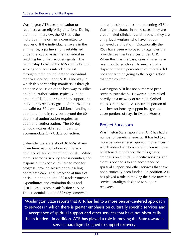Washington ATR uses motivation or readiness as an eligibility criterion. During the initial interview, the RSS asks the individual if he or she is committed to recovery. If the individual answers in the affirmative, a partnership is established under the RSS to assist the individual in reaching his or her recovery goals. The partnership between the RSS and individual seeking services is intended to last throughout the period that the individual receives services under ATR. One way in which this partnership manifests is through an open discussion of the best way to utilize an initial authorization, typically in the amount of \$2,000 or \$2,500, to support the individual's recovery goals. Authorizations are valid for 60 days. Additional funding or additional time in services beyond the 60 day initial authorization requires an additional authorization. The 60-day window was established, in part, to accommodate GPRA data collection.

Statewide, there are about 30 RSSs at any given time, each of whom can have a caseload of 100 or more individuals. While there is some variability across counties, the responsibilities of the RSS are to monitor progress, provide advice or counseling, coordinate care, and intervene at times of crisis. In addition, the RSS tracks voucher expenditures and expiration dates and distributes customer satisfaction surveys. The credentials for an RSS vary somewhat

across the six counties implementing ATR in Washington State. In some cases, they are credentialed clinicians and in others they are entry-level workers who have not yet achieved certification. Occasionally the RSSs have been employed by agencies that provide treatment services under ATR. When this was the case, referral rates have been monitored closely to ensure that a disproportionate percentage of referrals did not appear to be going to the organization that employs the RSS.

Washington ATR has not purchased peer services extensively. However, it has relied heavily on a network of over 400 Oxford Houses in the State. A substantial portion of vouchers for housing support has gone to cover portions of stays in Oxford Houses.

### Project Successes

Washington State reports that ATR has had a number of beneficial effects. It has led to a more person-centered approach to services in which individual choice and preference have heightened importance, there is greater emphasis on culturally specific services, and there is openness to and acceptance of spiritual support and other services that have not historically been funded. In addition, ATR has played a role in moving the State toward a service paradigm designed to support recovery.

Washington State reports that ATR has led to a more person-centered approach to services in which there is greater emphasis on culturally specific services and acceptance of spiritual support and other services that have not historically been funded. In addition, ATR has played a role in moving the State toward a service paradigm designed to support recovery.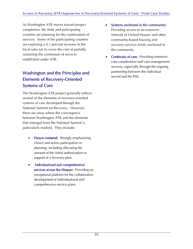As Washington ATR moves toward project completion, the State and participating counties are planning for the continuation of services. Some of the participating counties are exploring a 0.1 percent increase in the local sales tax to cover the cost of partially sustaining the continuum of services established under ATR.

## Washington and the Principles and Elements of Recovery-Oriented Systems of Care

The Washington ATR project generally reflects several of the elements of recovery-oriented systems of care developed through the National Summit on Recovery. However, there are areas where the convergence between Washington ATR and the elements that emerged from the National Summit is particularly marked. They include:

- **Person-centered:** Strongly emphasizing choice and active participation in planning, including allocating the amount of the initial authorization in support of a recovery plan.
- Individualized and comprehensive services across the lifespan: Providing an exceptional platform for the collaborative development of individualized and comprehensive service plans.
- Systems anchored in the community: Providing access to an extensive network of Oxford Houses and other community-based housing and recovery services firmly anchored in the community.
- **Continuity of care:** Providing extensive care coordination and case management services, especially through the ongoing partnership between the individual served and the RSS.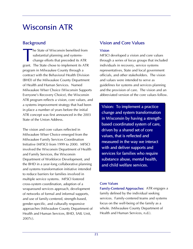# Wisconsin ATR

### **Background**

he State of Wisconsin benefited from substantial planning and systemschange efforts that preceded its ATR grant. The State chose to implement its ATR program in Milwaukee County through a contract with the Behavioral Health Division (BHD) of the Milwaukee County Department of Health and Human Services. Named Milwaukee WIser Choice (Wisconsin Supports Everyone's Recovery Choice), the Wisconsin ATR program reflects a vision, core values, and a systems improvement strategy that had been in place a number of years before the initial ATR concept was first announced in the 2003 State of the Union Address. T

The vision and core values reflected in Milwaukee WIser Choice emerged from the Milwaukee Family Services Coordination Initiative (MFSCI) from 1999 to 2000. MFSCI involved the Wisconsin Department of Health and Family Services, the Wisconsin Department of Workforce Development, and the BHD in a year-long collaborative planning and systems transformation initiative intended to reduce barriers for families involved in multiple service systems. MFSCI fostered cross-system coordination, adoption of a wraparound services approach, development of networks of formal and informal supports, and use of family-centered, strength-based, gender-specific, and culturally responsive approaches (Milwaukee County Department of Health and Human Services, BHD, SAIL Unit, 2007c).

## Vision and Core Values

### Vision

MFSCI developed a vision and core values through a series of focus groups that included individuals in recovery, service systems representatives, State and local government officials, and other stakeholders. The vision and values were intended to serve as guidelines for systems and services planning and the provision of care. The vision and an abbreviated version of the core values follow.

Vision: To implement a practice change and system transformation in Wisconsin by having a strengthbased coordinated system of care, driven by a shared set of core values, that is reflected and measured in the way we interact with and deliver supports and services for families who require substance abuse, mental health, and child welfare services.

### Core Values

Family-Centered Approaches: ATR engages a family defined by the individual seeking services. Family-centered teams and systems focus on the well-being of the family as a whole. (Milwaukee County Department of Health and Human Services, n.d.).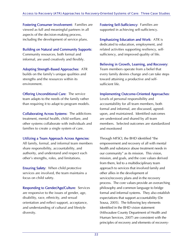Fostering Consumer Involvement: Families are viewed as full and meaningful partners in all aspects of the decision-making process, including the development of service plans.

Building on Natural and Community Supports: Community resources, both formal and informal, are used creatively and flexibly.

Adopting Strength-Based Approaches: ATR builds on the family's unique qualities and strengths and the resources within its environment.

Offering Unconditional Care: The service team adapts to the needs of the family rather than requiring it to adapt to program models.

Collaborating Across Systems: The addictions treatment, mental health, child welfare, and other systems collaborate with individuals and families to create a single system of care.

#### Utilizing a Team Approach Across Agencies:

All family, formal, and informal team members share responsibility, accountability, and authority, and understand and respect each other's strengths, roles, and limitations.

Ensuring Safety: When child protective services are involved, the team maintains a focus on child safety.

Responding to Gender/Age/Culture: Services are responsive to the issues of gender, age, disability, race, ethnicity, and sexual orientation and reflect support, acceptance, and understanding of cultural and lifestyle diversity.

Fostering Self-Sufficiency: Families are supported in achieving self-sufficiency.

Emphasizing Education and Work: ATR is dedicated to education, employment, and related activities supporting resiliency, selfsufficiency, and improved quality of life.

#### Believing in Growth, Learning, and Recovery:

Team members operate from a belief that every family desires change and can take steps toward attaining a productive and selfsufficient life.

#### Implementing Outcome-Oriented Approaches:

Levels of personal responsibility and accountability for all team members, both formal and informal, are discussed, agreedupon, and maintained. Identified outcomes are understood and shared by all team members. Selected outcomes are standardized and monitored

Through MFSCI, the BHD identified "the empowerment and recovery of all with mental health and substance abuse treatment needs in our community" as its mission. This vision, mission, and goals, and the core values derived from them, led to a multidisciplinary team approach to services that involved family and other allies in the development of service/recovery plans and in the recovery process. The core values provide an overarching philosophy and common language to bridge formal and informal systems. They also establish expectations that support accountability (De Sousa, 2005). The following key elements identified in the BHD vision statement (Milwaukee County Department of Health and Human Services, 2007) are consistent with the principles of recovery and elements of recovery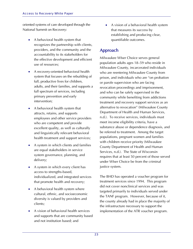oriented systems of care developed through the National Summit on Recovery:

- A behavioral health system that recognizes the partnership with clients, providers, and the community and the accountability to its stakeholders for the effective development and efficient use of resources;
- A recovery-oriented behavioral health system that focuses on the rebuilding of full, productive lives for children, adults, and their families, and supports a full spectrum of services, including primary prevention and early intervention;
- A behavioral health system that attracts, retains, and supports employees and other service providers who are competent and provide excellent quality, as well as culturally and linguistically relevant behavioral health treatment and support services;
- A system in which clients and families are equal stakeholders in service system governance, planning, and delivery;
- A system in which every client has access to strengths-based, individualized, and integrated services that promote health and recovery;
- A behavioral health system where cultural, ethnic, and socioeconomic diversity is valued by providers and clients;
- A vision of behavioral health services and supports that are community based and not institution based; and

• A vision of a behavioral health system that measures its success by establishing and producing clear, quantifiable outcomes.

## Approach

Milwaukee WIser Choice serves general population adults ages 18–59 who reside in Milwaukee County, incarcerated individuals who are reentering Milwaukee County from prison, and individuals who are "on probation or parole supervision who are facing revocation proceedings and imprisonment, and who can be safely supervised in the community while benefiting from addictions treatment and recovery support services as an alternative to revocation" (Milwaukee County Department of Health and Human Services, n.d.). To receive services, individuals must meet income eligibility criteria, have a substance abuse or dependence diagnosis, and be referred to treatment. Among the target populations, pregnant women and families with children receive priority (Milwaukee County Department of Health and Human Services, n.d.). The State of Wisconsin requires that at least 50 percent of those served under WIser Choice be from the criminal justice system.

The BHD has operated a voucher program for treatment services since 1994. This program did not cover nonclinical services and was targeted primarily to individuals served under the TANF program. However, because of it, the county already had in place the majority of the infrastructure necessary to support the implementation of the ATR voucher program.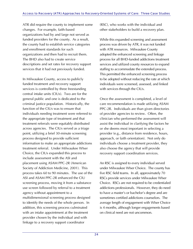ATR did require the county to implement some changes. For example, faith-based organizations had by and large not served as funded providers for the county. As a result, the county had to establish service categories and enrollment standards for such organizations and then had to recruit them. The BHD also had to create service descriptions and set rates for recovery support services that it had not previously funded.

In Milwaukee County, access to publicly funded treatment and recovery support services is controlled by three freestanding central intake units (CIUs). Two are for the general public and one is dedicated to the criminal justice population. Historically, the function of the CIUs was to ensure that individuals needing treatment were referred to the appropriate type of treatment and that treatment referrals were equitably distributed across agencies. The CIUs served as a triage point, utilizing a brief 30-minute screening process designed to provide sufficient information to make an appropriate addictions treatment referral. Under Milwaukee WIser Choice, the CIUs expanded this process to include assessment with the ASI and placement using ASAM PPC-2R (American Society of Addiction Medicine, 2001). This process takes 60 to 90 minutes. The use of the ASI and ASAM PPC-2R enhanced the CIU screening process, moving it from a substance use screen followed by referral to a treatment agency without appointment to a multidimensional screening process designed to identify the needs of the whole person. In addition, this screening process culminated with an intake appointment at the treatment provider chosen by the individual and with linkage to a recovery support coordinator

(RSC), who works with the individual and other stakeholders to build a recovery plan.

While this expanded screening and assessment process was driven by ATR, it was not funded with ATR resources. Milwaukee County adopted the enhanced screening and linkage process for all BHD-funded addictions treatment services and utilized county resources to expand staffing to accommodate the extended process. This permitted the enhanced screening process to be adopted without reducing the rate at which individuals were screened, assessed, and linked with services through the CIUs.

Once the assessment is completed, a level of care recommendation is made utilizing ASAM PPC-2R. Individuals are than given directories of provider agencies to review. Often, the clinician who performed the assessment will assist the individual in clarifying the factors he or she deems most important in selecting a provider (e.g., distance from residence, hours, approach, or faith orientation). Not only do individuals choose a treatment provider, they also choose the agency that will provide recovery support coordination services.

An RSC is assigned to every individual served under Milwaukee WIser Choice. The county has five RSC field teams. In all, approximately 70 RSCs provide services under Milwaukee WIser Choice. RSCs are not required to be credentialed addictions professionals. However, they do need to have a master's or bachelor's degree and are sometimes certified addictions counselors. The average length of engagement with WIser Choice is 4 months, although longer engagements based on clinical need are not uncommon.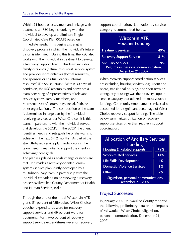Within 24 hours of assessment and linkage with treatment, an RSC begins working with the individual to develop a preliminary Single Coordinated Care Plan (SCCP) based on immediate needs. This begins a strengths discovery process in which the individual's future vision is identified. During this time, the RSC also works with the individual in treatment to develop a Recovery Support Team. This team includes family or friends (natural resources), service system and provider representatives (formal resources), and sponsors or spiritual leaders (informal resources) (De Sousa, 2005). Within 30 days of admission, the RSC assembles and convenes a team consisting of representatives of relevant service systems, family members, and representatives of community, social, faith, or other organizations. The composition of the team is determined in large part by the individual receiving services under WIser Choice. It is this team, in partnership with the individual served, that develops the SCCP. In the SCCP, the client identifies needs and sets goals he or she wants to achieve in the next 6–12 months. As part of the strength-based service plan, individuals in the team meeting may offer to support the client in achieving those goals.

The plan is updated as goals change or needs are met. It provides a recovery-oriented, crosssystems service plan jointly developed by a multidisciplinary team in partnership with the individual embarking on or renewing a recovery process (Milwaukee County Department of Health and Human Services, n.d.).

Through the end of the initial Wisconsin ATR grant, 51 percent of Milwaukee WIser Choice voucher expenditures were for recovery support services and 49 percent were for treatment. Forty-two percent of recovery support service expenditures were for recovery support coordination. Utilization by service category is summarized below.

| <b>Wisconsin ATR</b><br><b>Voucher Funding</b> |     |
|------------------------------------------------|-----|
| <b>Treatment Services</b>                      | 49% |
| <b>Recovery Support Services</b>               | 51% |
| <b>Ancillary Services</b>                      | 9%  |
| (Sigurdson, personal communication,            |     |
| December 21, 2007)                             |     |

When recovery support coordination services are excluded, housing services (e.g., room and board, transitional housing, and short-term or emergency housing) was the recovery support service category that utilized the most voucher funding. Community employment services also accounted for a significant percentage of Wiser Choice recovery support funding. The table below summarizes utilization of recovery support services other than recovery support coordination.

| <b>Allocation of Ancillary Services</b>                    |     |  |
|------------------------------------------------------------|-----|--|
| <b>Funding</b>                                             |     |  |
| <b>Housing &amp; Related Supports</b>                      | 79% |  |
| <b>Work-Related Services</b>                               | 14% |  |
| Life Skills Development                                    | 4%  |  |
| <b>Domestic Violence Services</b>                          | 1%  |  |
| Other                                                      | 2%  |  |
| (Sigurdson, personal communications,<br>December 21, 2007) |     |  |

### Project Successes

In January 2007, Milwaukee County reported the following preliminary data on the impacts of Milwaukee WIser Choice (Sigurdson, personal communication, December 21, 2007):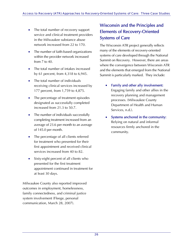- The total number of recovery support service and clinical treatment providers in the Milwaukee substance abuse network increased from 22 to 170.
- The number of faith-based organizations within the provider network increased from 7 to 40.
- The total number of intakes increased by 61 percent, from 4,318 to 6,945.
- The total number of individuals receiving clinical services increased by 177 percent, from 1,759 to 4,875.
- The percentage of treatment episodes designated as successfully completed increased from 21.3 to 50.7.
- The number of individuals successfully completing treatment increased from an average of 23.6 per month to an average of 145.0 per month.
- The percentage of all clients referred for treatment who presented for their first appointment and received clinical services increased from 40 to 82.
- Sixty-eight percent of all clients who presented for the first treatment appointment continued in treatment for at least 30 days.

Milwaukee County also reported improved outcomes in employment, homelessness, family connectedness, and criminal justice system involvement (Fleege, personal communication, March 28, 2007).

## Wisconsin and the Principles and Elements of Recovery-Oriented Systems of Care

The Wisconsin ATR project generally reflects many of the elements of recovery-oriented systems of care developed through the National Summit on Recovery. However, there are areas where the convergence between Wisconsin ATR and the elements that emerged from the National Summit is particularly marked. They include:

- Family and other ally involvement: Engaging family and other allies in the recovery planning and management processes. (Milwaukee County Department of Health and Human Services, n.d.).
- Systems anchored in the community: Relying on natural and informal resources firmly anchored in the community.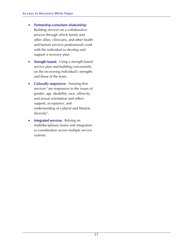- Partnership-consultant relationship: Building services on a collaborative process through which family and other allies, clinicians, and other health and human services professionals work with the individual to develop and support a recovery plan.
- **Strength-based:** Using a strength-based service plan and building concurrently on the recovering individual's strengths and those of the team.
- Culturally responsive: Assuring that services "are responsive to the issues of gender, age, disability, race, ethnicity, and sexual orientation and reflect support, acceptance, and understanding of cultural and lifestyle diversity".
- Integrated services: Relying on multidisciplinary teams and integration or coordination across multiple service systems.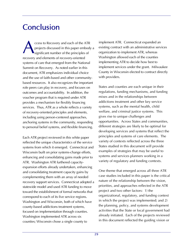# **Conclusion**

ccess to Recovery and each of the ATR projects discussed in this paper embody a significant number of the principles of recovery and elements of recovery-oriented systems of care that emerged from the National Summit on Recovery. As noted earlier in this document, ATR emphasizes individual choice and the use of faith-based and other communitybased resources. It also recognizes the important role peers can play in recovery, and focuses on outcomes and accountability. In addition, the voucher program that is required under ATR provides a mechanism for flexibly financing services. Thus, ATR as a whole reflects a variety of recovery-oriented principles and elements, including using person-centered approaches, anchoring systems in the community, responding to personal belief systems, and flexible financing. A

Each ATR project reviewed in this white paper reflected the unique characteristics of the service systems from which it emerged. Connecticut and Wisconsin built on prior systems-change efforts, enhancing and consolidating gains made prior to ATR. Washington ATR furthered capacityexpansion efforts already undertaken, enhancing and consolidating treatment capacity gains by complementing them with an array of needed recovery support services. Connecticut adopted a statewide model and used ATR funding to move toward the establishment of formal networks that correspond to each of its five service regions. Washington and Wisconsin, both of which have county-based addictions treatment systems, focused on implementation through counties. Washington implemented ATR across six counties; Wisconsin chose a single county to

implement ATR. Connecticut expanded an existing contract with an administrative services organization to implement ATR, whereas Washington allowed each of the counties implementing ATR to decide how best to implement services under the grant. Milwaukee County in Wisconsin elected to contract directly with providers.

States and counties are each unique in their regulations, funding mechanisms, and funding mixes and in the relationships between addictions treatment and other key service systems, such as the mental health, child welfare, and criminal justice systems. This gives rise to unique challenges and opportunities. Across States and communities, different strategies are likely to be optimal for developing services and systems that reflect the principles and systems of care elements. The variety of contexts reflected across the three States studied in this document will provide examples of strategies that may be useful to systems and services planners working in a variety of regulatory and funding contexts.

One theme that emerged across all three ATR case studies included in this paper is the critical nature of the relationship between the vision, priorities, and approaches reflected in the ATR project and two other factors: 1) the organizational, regulatory, and funding context in which the project was implemented; and 2) the planning, policy, and systems development activities that the State or local government had already initiated. Each of the projects reviewed in this document reflected the guiding vision or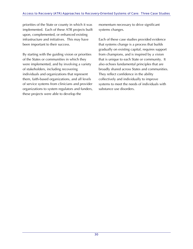priorities of the State or county in which it was implemented. Each of these ATR projects built upon, complemented, or enhanced existing infrastructure and initiatives. This may have been important to their success.

By starting with the guiding vision or priorities of the States or communities in which they were implemented, and by involving a variety of stakeholders, including recovering individuals and organizations that represent them, faith-based organizations, and all levels of service systems from clinicians and provider organizations to system regulators and funders, these projects were able to develop the

momentum necessary to drive significant systems changes.

Each of these case studies provided evidence that systems change is a process that builds gradually on existing capital, requires support from champions, and is inspired by a vision that is unique to each State or community. It also echoes fundamental principles that are broadly shared across States and communities. They reflect confidence in the ability collectively and individually to improve systems to meet the needs of individuals with substance use disorders.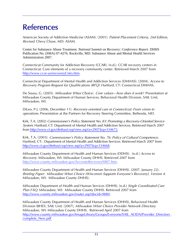# **References**

American Society of Addiction Medicine (ASAM). (2001). Patient Placement Criteria, 2nd Edition, Revised. Chevy Chase, MD: ASAM.

Center for Substance Abuse Treatment. *National Summit on Recovery: Conference Report*. DHHS Publication No. (SMA) 07-4276. Rockville, MD: Substance Abuse and Mental Health Services Administration 2007.

Connecticut Community for Addiction Recovery (CCAR). (n.d.). CCAR recovery centers in Connecticut: Core elements of a recovery community center. Retrieved March 2007 from [http://www.ccar-us/recoveryCntrs.htm.](http://www.ccar.us/recoveryCntrs.htm)

Connecticut Department of Mental Health and Addiction Services (DMHAS). (2004). Access to Recovery Program Request for Qualifications (RFQ). Hartford, CT: Connecticut DMHAS.

De Sousa, G. (2005). Milwaukee WIser Choice: Core values—how does it work? Presentation at Milwaukee County Department of Human Services, Behavioral Health Division, SAIL Unit, Milwaukee, WI.

DiLeo, P.J. (2006, December 11). Recovery-oriented care in Connecticut: From vision to operations. Presentation at the Partners for Recovery Steering Committee, Bethesda, MD.

Kirk, T.A. (2002) Commissioner's Policy Statement No. 83: Promoting a Recovery-Oriented Service System. Hartford, CT: Department of Mental Health and Addiction Services. Retrieved March 2007 from[http://www.ct.gov/dmhas/cwp/view.asp?a=2907&](http://www.dmhas.state.ct.us/policies/policy83.htm_)[q=334672.](http://www.ct.gov/dmhas/cwp/view.asp?a=2907&q=334672)

Kirk, T.A. (2003). Commissioner's Policy Statement No. 76: Policy of Cultural Competence. Hartford, CT: Department of Mental Health and Addiction Services. Retrieved March 2007 from <http://www.ct.gov/dmhas/cwp/view.asp?a=2907&q=334668>.

Milwaukee County Department of Health and Human Services (DDHS). (n.d.) Access to Recovery. Milwaukee, WI: Milwaukee County DHHS. Retrieved 2007 from [http://www.county.milwaukee.gov/AccesstoRecovery9887.htm.](http://www.county.milwaukee.gov/AccesstoRecovery9887.htm)

Milwaukee County Department of Health and Human Services (DHHS). (2007, January 22). Briefing Paper: Milwaukee WIser Choice (Wisconsin Supports Everyone's Recovery), Version 4. Milwaukee, WI: Milwaukee County DHHS).

Milwaukee Department of Health and Human Services (DHHS). (n.d.) Single Coordinated Care Plan FAQ. Milwaukee, WI: Milwaukee County DHHS. Retrieved 2007 from <http://www.county.milwaukee.gov/router.asp?docid=9880>.

Milwaukee County Department of Health and Human Services (DHHS), Behavioral Health Division (BHD), SAIL Unit. (2007), Milwaukee WIser Choice Provider Network Directory. Milwaukee, WI: Milwaukee County DHHS. Retrieved April 2007 from [http://www.county.milwaukee.gov/ImageLibrary/Groups/Everyone/SAIL\\_AODA/Provider\\_Directory](http://www.county.milwaukee.gov/ImageLibrary/Groups/Everyone/SAIL_AODA/Provider_Directory_complete_New.pdf)\_ [complete\\_New.pdf](http://www.county.milwaukee.gov/ImageLibrary/Groups/Everyone/SAIL_AODA/Provider_Directory_complete_New.pdf)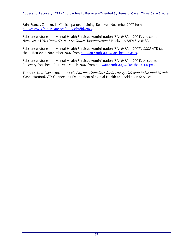Saint Francis Care. (n.d.). Clinical pastoral training. Retrieved November 2007 from <http://www.stfranciscare.org/body.cfm?id=983>.

Substance Abuse and Mental Health Services Administration (SAMHSA). (2004). Access to Recovery (ATR) Grants (TI 04-009) (Initial Announcement). Rockville, MD: SAMHSA.

Substance Abuse and Mental Health Services Administration (SAMHSA). (2007). 2007 ATR fact sheet. Retrieved November 2007 from [http://atr.samhsa.gov/factsheet07.aspx](http://atr.samhsa.gov/Factsheet07.aspx).

Substance Abuse and Mental Health Services Administration (SAMHSA). (2004). Access to Recovery fact sheet. Retrieved March 2007 from [http://atr.samhsa.gov/Factsheet04.aspx](http://atr.samhsa.gov/factsheet04.aspx).

Tondora, J., & Davidson, L. (2006). Practice Guidelines for Recovery-Oriented Behavioral Health Care. Hartford, CT: Connecticut Department of Mental Health and Addiction Services.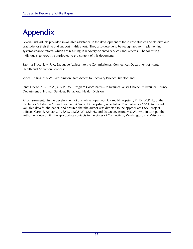# Appendix

Several individuals provided invaluable assistance in the development of these case studies and deserve our gratitude for their time and support in this effort. They also deserve to be recognized for implementing systems-change efforts, which are resulting in recovery-oriented services and systems. The following individuals generously contributed to the content of this document:

Sabrina Trocchi, M.P.A., Executive Assistant to the Commissioner, Connecticut Department of Mental Health and Addiction Services;

Vince Collins, M.S.W., Washington State Access to Recovery Project Director; and

Janet Fleege, M.S., M.A., C.A.P.S.W., Program Coordinator—Milwaukee WIser Choice, Milwaukee County Department of Human Services, Behavioral Health Division.

Also instrumental in the development of this white paper was Andrea N. Kopstein, Ph.D., M.P.H., of the Center for Substance Abuse Treatment (CSAT). Dr. Kopstein, who led ATR activities for CSAT, furnished valuable data for the paper, and ensured that the author was directed to the appropriate CSAT project officers, Carol E. Abnathy, M.S.W., L.I.C.S.W., M.P.H., and Dawn Levinson, M.S.W., who in turn put the author in contact with the appropriate contacts in the States of Connecticut, Washington, and Wisconsin.